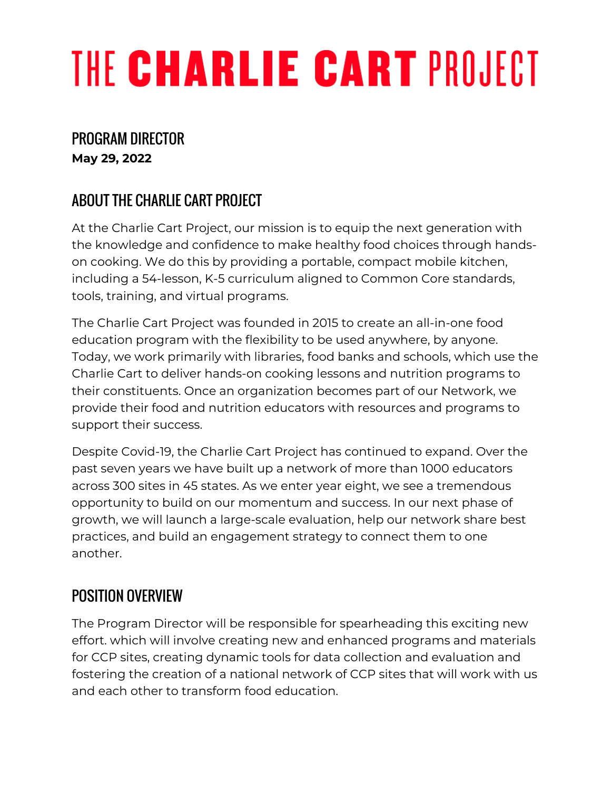# THE CHARLIE CART PROJECT

## PROGRAM DIRECTOR

**May 29, 2022**

## ABOUT THE CHARLIE CART PROJECT

At the Charlie Cart Project, our mission is to equip the next generation with the knowledge and confidence to make healthy food choices through handson cooking. We do this by providing a portable, compact mobile kitchen, including a 54-lesson, K-5 curriculum aligned to Common Core standards, tools, training, and virtual programs.

The Charlie Cart Project was founded in 2015 to create an all-in-one food education program with the flexibility to be used anywhere, by anyone. Today, we work primarily with libraries, food banks and schools, which use the Charlie Cart to deliver hands-on cooking lessons and nutrition programs to their constituents. Once an organization becomes part of our Network, we provide their food and nutrition educators with resources and programs to support their success.

Despite Covid-19, the Charlie Cart Project has continued to expand. Over the past seven years we have built up a network of more than 1000 educators across 300 sites in 45 states. As we enter year eight, we see a tremendous opportunity to build on our momentum and success. In our next phase of growth, we will launch a large-scale evaluation, help our network share best practices, and build an engagement strategy to connect them to one another.

## POSITION OVERVIEW

The Program Director will be responsible for spearheading this exciting new effort. which will involve creating new and enhanced programs and materials for CCP sites, creating dynamic tools for data collection and evaluation and fostering the creation of a national network of CCP sites that will work with us and each other to transform food education.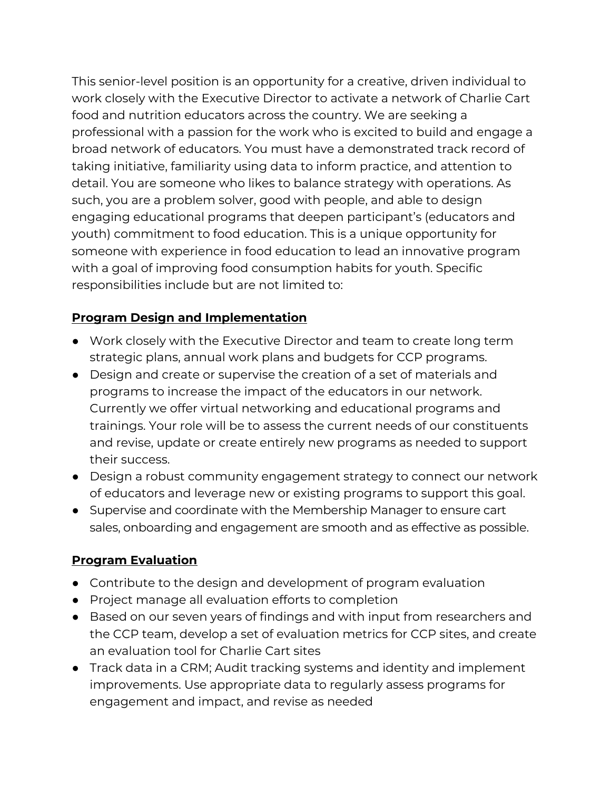This senior-level position is an opportunity for a creative, driven individual to work closely with the Executive Director to activate a network of Charlie Cart food and nutrition educators across the country. We are seeking a professional with a passion for the work who is excited to build and engage a broad network of educators. You must have a demonstrated track record of taking initiative, familiarity using data to inform practice, and attention to detail. You are someone who likes to balance strategy with operations. As such, you are a problem solver, good with people, and able to design engaging educational programs that deepen participant's (educators and youth) commitment to food education. This is a unique opportunity for someone with experience in food education to lead an innovative program with a goal of improving food consumption habits for youth. Specific responsibilities include but are not limited to:

#### **Program Design and Implementation**

- Work closely with the Executive Director and team to create long term strategic plans, annual work plans and budgets for CCP programs.
- Design and create or supervise the creation of a set of materials and programs to increase the impact of the educators in our network. Currently we offer virtual networking and educational programs and trainings. Your role will be to assess the current needs of our constituents and revise, update or create entirely new programs as needed to support their success.
- Design a robust community engagement strategy to connect our network of educators and leverage new or existing programs to support this goal.
- Supervise and coordinate with the Membership Manager to ensure cart sales, onboarding and engagement are smooth and as effective as possible.

#### **Program Evaluation**

- Contribute to the design and development of program evaluation
- Project manage all evaluation efforts to completion
- Based on our seven years of findings and with input from researchers and the CCP team, develop a set of evaluation metrics for CCP sites, and create an evaluation tool for Charlie Cart sites
- Track data in a CRM; Audit tracking systems and identity and implement improvements. Use appropriate data to regularly assess programs for engagement and impact, and revise as needed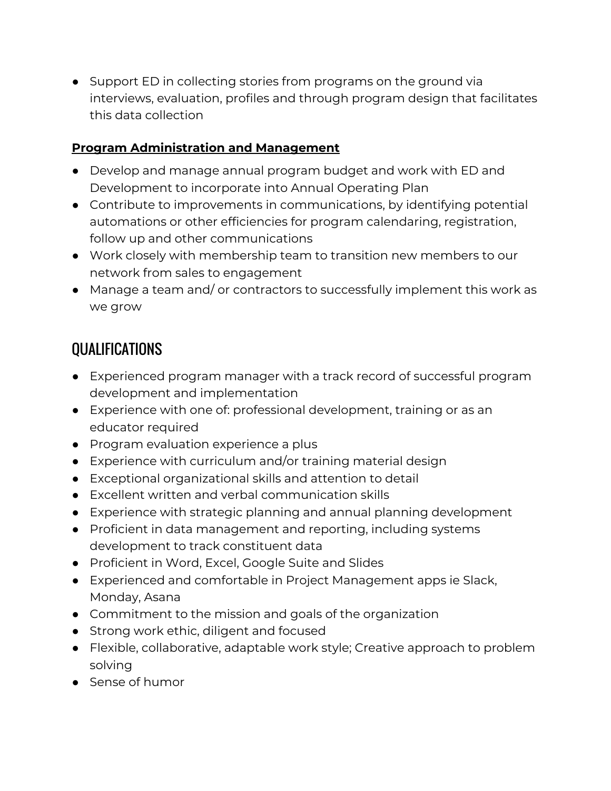● Support ED in collecting stories from programs on the ground via interviews, evaluation, profiles and through program design that facilitates this data collection

#### **Program Administration and Management**

- Develop and manage annual program budget and work with ED and Development to incorporate into Annual Operating Plan
- Contribute to improvements in communications, by identifying potential automations or other efficiencies for program calendaring, registration, follow up and other communications
- Work closely with membership team to transition new members to our network from sales to engagement
- Manage a team and/ or contractors to successfully implement this work as we grow

## **OUALIFICATIONS**

- Experienced program manager with a track record of successful program development and implementation
- Experience with one of: professional development, training or as an educator required
- Program evaluation experience a plus
- Experience with curriculum and/or training material design
- Exceptional organizational skills and attention to detail
- Excellent written and verbal communication skills
- Experience with strategic planning and annual planning development
- Proficient in data management and reporting, including systems development to track constituent data
- Proficient in Word, Excel, Google Suite and Slides
- Experienced and comfortable in Project Management apps ie Slack, Monday, Asana
- Commitment to the mission and goals of the organization
- Strong work ethic, diligent and focused
- Flexible, collaborative, adaptable work style; Creative approach to problem solving
- Sense of humor